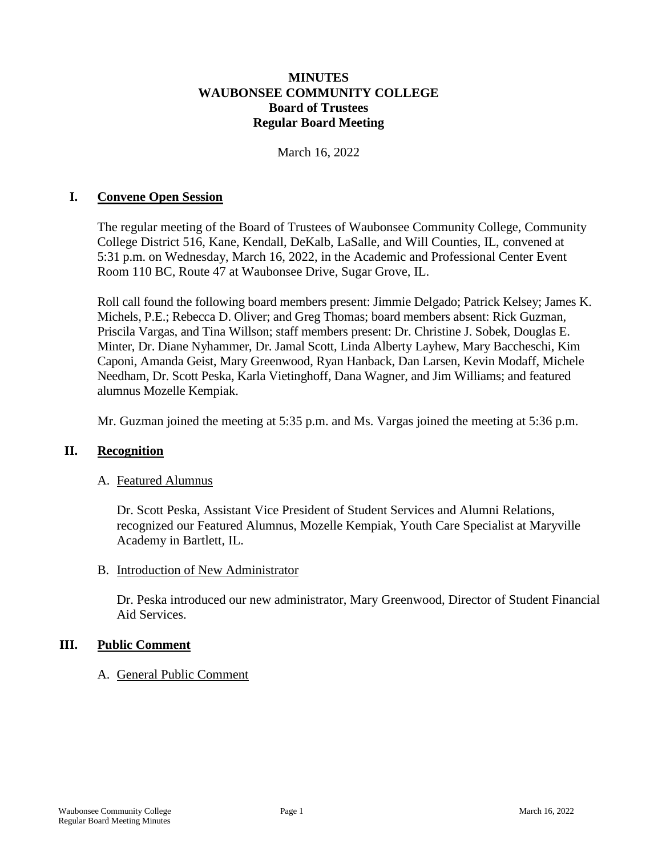### **MINUTES WAUBONSEE COMMUNITY COLLEGE Board of Trustees Regular Board Meeting**

March 16, 2022

#### **I. Convene Open Session**

The regular meeting of the Board of Trustees of Waubonsee Community College, Community College District 516, Kane, Kendall, DeKalb, LaSalle, and Will Counties, IL, convened at 5:31 p.m. on Wednesday, March 16, 2022, in the Academic and Professional Center Event Room 110 BC, Route 47 at Waubonsee Drive, Sugar Grove, IL.

Roll call found the following board members present: Jimmie Delgado; Patrick Kelsey; James K. Michels, P.E.; Rebecca D. Oliver; and Greg Thomas; board members absent: Rick Guzman, Priscila Vargas, and Tina Willson; staff members present: Dr. Christine J. Sobek, Douglas E. Minter, Dr. Diane Nyhammer, Dr. Jamal Scott, Linda Alberty Layhew, Mary Baccheschi, Kim Caponi, Amanda Geist, Mary Greenwood, Ryan Hanback, Dan Larsen, Kevin Modaff, Michele Needham, Dr. Scott Peska, Karla Vietinghoff, Dana Wagner, and Jim Williams; and featured alumnus Mozelle Kempiak.

Mr. Guzman joined the meeting at 5:35 p.m. and Ms. Vargas joined the meeting at 5:36 p.m.

#### **II. Recognition**

#### A. Featured Alumnus

Dr. Scott Peska, Assistant Vice President of Student Services and Alumni Relations, recognized our Featured Alumnus, Mozelle Kempiak, Youth Care Specialist at Maryville Academy in Bartlett, IL.

#### B. Introduction of New Administrator

Dr. Peska introduced our new administrator, Mary Greenwood, Director of Student Financial Aid Services.

#### **III. Public Comment**

#### A. General Public Comment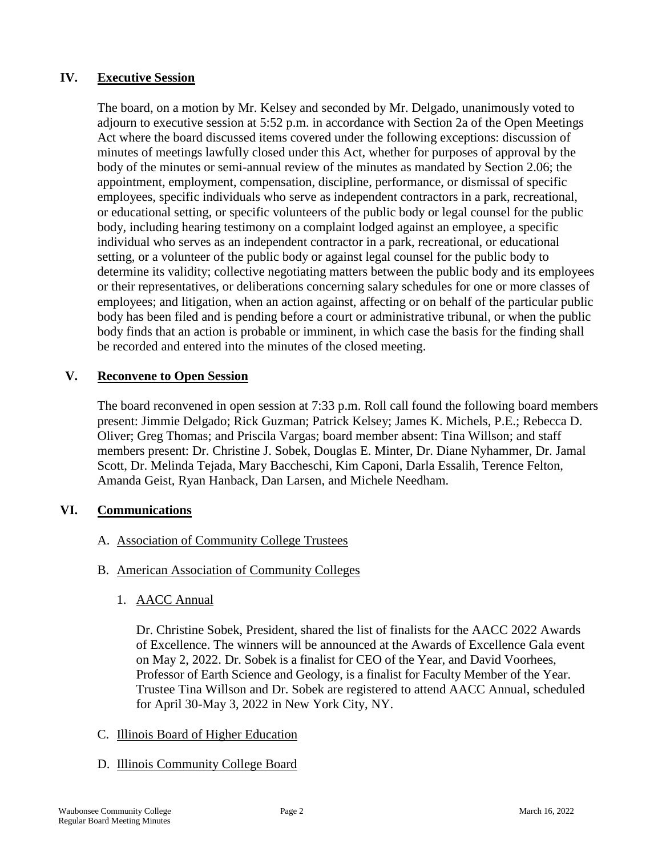# **IV. Executive Session**

The board, on a motion by Mr. Kelsey and seconded by Mr. Delgado, unanimously voted to adjourn to executive session at 5:52 p.m. in accordance with Section 2a of the Open Meetings Act where the board discussed items covered under the following exceptions: discussion of minutes of meetings lawfully closed under this Act, whether for purposes of approval by the body of the minutes or semi-annual review of the minutes as mandated by Section 2.06; the appointment, employment, compensation, discipline, performance, or dismissal of specific employees, specific individuals who serve as independent contractors in a park, recreational, or educational setting, or specific volunteers of the public body or legal counsel for the public body, including hearing testimony on a complaint lodged against an employee, a specific individual who serves as an independent contractor in a park, recreational, or educational setting, or a volunteer of the public body or against legal counsel for the public body to determine its validity; collective negotiating matters between the public body and its employees or their representatives, or deliberations concerning salary schedules for one or more classes of employees; and litigation, when an action against, affecting or on behalf of the particular public body has been filed and is pending before a court or administrative tribunal, or when the public body finds that an action is probable or imminent, in which case the basis for the finding shall be recorded and entered into the minutes of the closed meeting.

## **V. Reconvene to Open Session**

The board reconvened in open session at 7:33 p.m. Roll call found the following board members present: Jimmie Delgado; Rick Guzman; Patrick Kelsey; James K. Michels, P.E.; Rebecca D. Oliver; Greg Thomas; and Priscila Vargas; board member absent: Tina Willson; and staff members present: Dr. Christine J. Sobek, Douglas E. Minter, Dr. Diane Nyhammer, Dr. Jamal Scott, Dr. Melinda Tejada, Mary Baccheschi, Kim Caponi, Darla Essalih, Terence Felton, Amanda Geist, Ryan Hanback, Dan Larsen, and Michele Needham.

# **VI. Communications**

- A. Association of Community College Trustees
- B. American Association of Community Colleges
	- 1. AACC Annual

Dr. Christine Sobek, President, shared the list of finalists for the AACC 2022 Awards of Excellence. The winners will be announced at the Awards of Excellence Gala event on May 2, 2022. Dr. Sobek is a finalist for CEO of the Year, and David Voorhees, Professor of Earth Science and Geology, is a finalist for Faculty Member of the Year. Trustee Tina Willson and Dr. Sobek are registered to attend AACC Annual, scheduled for April 30-May 3, 2022 in New York City, NY.

# C. Illinois Board of Higher Education

#### D. Illinois Community College Board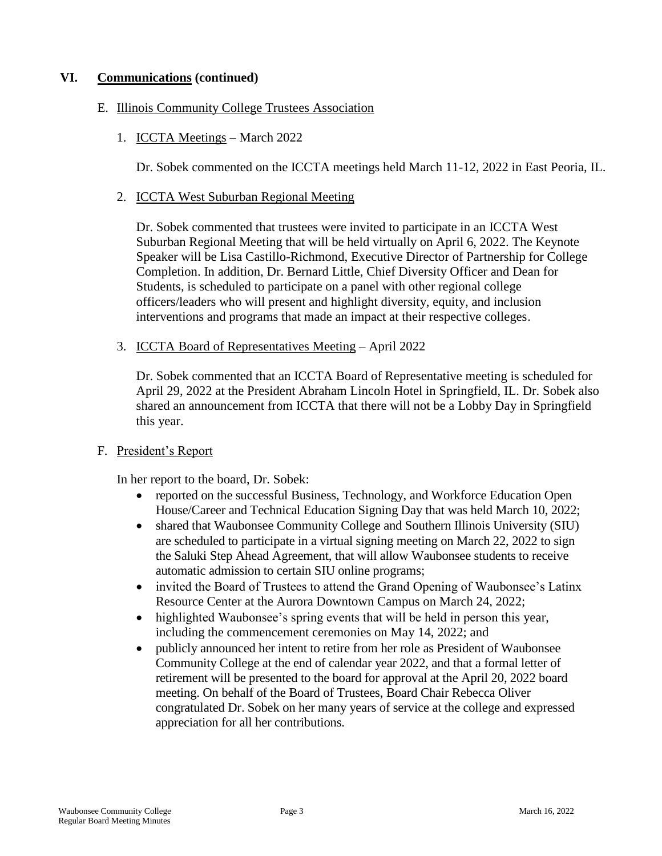# **VI. Communications (continued)**

#### E. Illinois Community College Trustees Association

1. ICCTA Meetings – March 2022

Dr. Sobek commented on the ICCTA meetings held March 11-12, 2022 in East Peoria, IL.

2. ICCTA West Suburban Regional Meeting

Dr. Sobek commented that trustees were invited to participate in an ICCTA West Suburban Regional Meeting that will be held virtually on April 6, 2022. The Keynote Speaker will be Lisa Castillo-Richmond, Executive Director of Partnership for College Completion. In addition, Dr. Bernard Little, Chief Diversity Officer and Dean for Students, is scheduled to participate on a panel with other regional college officers/leaders who will present and highlight diversity, equity, and inclusion interventions and programs that made an impact at their respective colleges.

3. ICCTA Board of Representatives Meeting – April 2022

Dr. Sobek commented that an ICCTA Board of Representative meeting is scheduled for April 29, 2022 at the President Abraham Lincoln Hotel in Springfield, IL. Dr. Sobek also shared an announcement from ICCTA that there will not be a Lobby Day in Springfield this year.

#### F. President's Report

In her report to the board, Dr. Sobek:

- reported on the successful Business, Technology, and Workforce Education Open House/Career and Technical Education Signing Day that was held March 10, 2022;
- shared that Waubonsee Community College and Southern Illinois University (SIU) are scheduled to participate in a virtual signing meeting on March 22, 2022 to sign the Saluki Step Ahead Agreement, that will allow Waubonsee students to receive automatic admission to certain SIU online programs;
- invited the Board of Trustees to attend the Grand Opening of Waubonsee's Latinx Resource Center at the Aurora Downtown Campus on March 24, 2022;
- highlighted Waubonsee's spring events that will be held in person this year, including the commencement ceremonies on May 14, 2022; and
- publicly announced her intent to retire from her role as President of Waubonsee Community College at the end of calendar year 2022, and that a formal letter of retirement will be presented to the board for approval at the April 20, 2022 board meeting. On behalf of the Board of Trustees, Board Chair Rebecca Oliver congratulated Dr. Sobek on her many years of service at the college and expressed appreciation for all her contributions.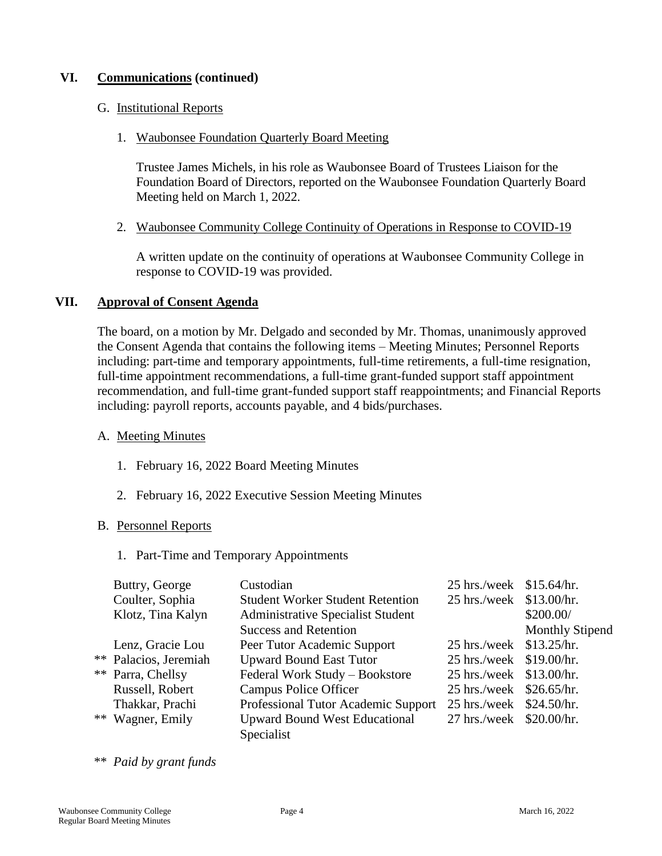# **VI. Communications (continued)**

#### G. Institutional Reports

1. Waubonsee Foundation Quarterly Board Meeting

Trustee James Michels, in his role as Waubonsee Board of Trustees Liaison for the Foundation Board of Directors, reported on the Waubonsee Foundation Quarterly Board Meeting held on March 1, 2022.

2. Waubonsee Community College Continuity of Operations in Response to COVID-19

A written update on the continuity of operations at Waubonsee Community College in response to COVID-19 was provided.

## **VII. Approval of Consent Agenda**

The board, on a motion by Mr. Delgado and seconded by Mr. Thomas, unanimously approved the Consent Agenda that contains the following items – Meeting Minutes; Personnel Reports including: part-time and temporary appointments, full-time retirements, a full-time resignation, full-time appointment recommendations, a full-time grant-funded support staff appointment recommendation, and full-time grant-funded support staff reappointments; and Financial Reports including: payroll reports, accounts payable, and 4 bids/purchases.

#### A. Meeting Minutes

- 1. February 16, 2022 Board Meeting Minutes
- 2. February 16, 2022 Executive Session Meeting Minutes

#### B. Personnel Reports

1. Part-Time and Temporary Appointments

| Buttry, George        | Custodian                                | 25 hrs./week \$15.64/hr. |                        |
|-----------------------|------------------------------------------|--------------------------|------------------------|
| Coulter, Sophia       | <b>Student Worker Student Retention</b>  | 25 hrs./week \$13.00/hr. |                        |
| Klotz, Tina Kalyn     | <b>Administrative Specialist Student</b> |                          | \$200.00/              |
|                       | <b>Success and Retention</b>             |                          | <b>Monthly Stipend</b> |
| Lenz, Gracie Lou      | Peer Tutor Academic Support              | 25 hrs./week \$13.25/hr. |                        |
| ** Palacios, Jeremiah | <b>Upward Bound East Tutor</b>           | 25 hrs./week \$19.00/hr. |                        |
| ** Parra, Chellsy     | Federal Work Study - Bookstore           | 25 hrs./week \$13.00/hr. |                        |
| Russell, Robert       | <b>Campus Police Officer</b>             | 25 hrs./week \$26.65/hr. |                        |
| Thakkar, Prachi       | Professional Tutor Academic Support      | 25 hrs./week \$24.50/hr. |                        |
| ** Wagner, Emily      | <b>Upward Bound West Educational</b>     | 27 hrs./week \$20.00/hr. |                        |
|                       | Specialist                               |                          |                        |

\*\* *Paid by grant funds*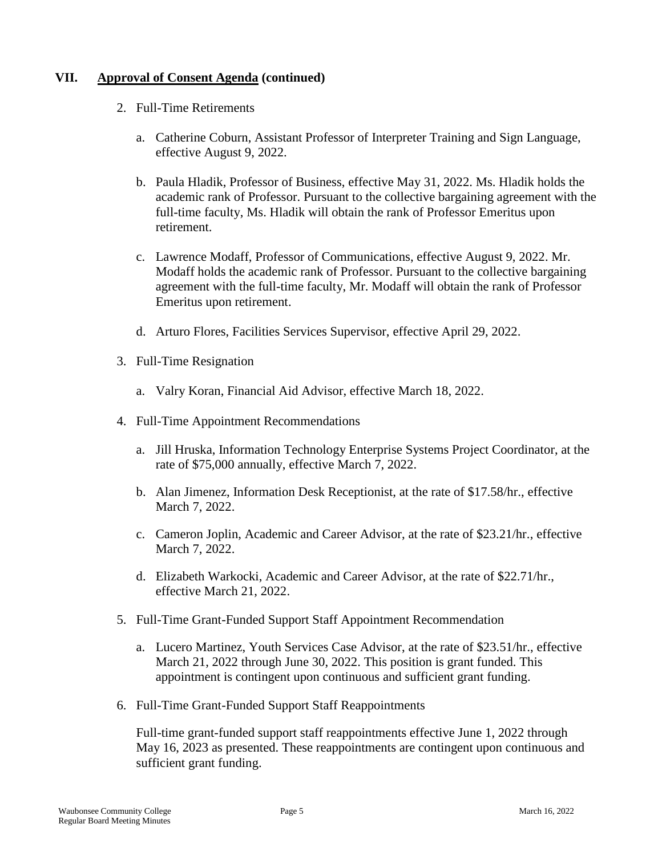- 2. Full-Time Retirements
	- a. Catherine Coburn, Assistant Professor of Interpreter Training and Sign Language, effective August 9, 2022.
	- b. Paula Hladik, Professor of Business, effective May 31, 2022. Ms. Hladik holds the academic rank of Professor. Pursuant to the collective bargaining agreement with the full-time faculty, Ms. Hladik will obtain the rank of Professor Emeritus upon retirement.
	- c. Lawrence Modaff, Professor of Communications, effective August 9, 2022. Mr. Modaff holds the academic rank of Professor. Pursuant to the collective bargaining agreement with the full-time faculty, Mr. Modaff will obtain the rank of Professor Emeritus upon retirement.
	- d. Arturo Flores, Facilities Services Supervisor, effective April 29, 2022.
- 3. Full-Time Resignation
	- a. Valry Koran, Financial Aid Advisor, effective March 18, 2022.
- 4. Full-Time Appointment Recommendations
	- a. Jill Hruska, Information Technology Enterprise Systems Project Coordinator, at the rate of \$75,000 annually, effective March 7, 2022.
	- b. Alan Jimenez, Information Desk Receptionist, at the rate of \$17.58/hr., effective March 7, 2022.
	- c. Cameron Joplin, Academic and Career Advisor, at the rate of \$23.21/hr., effective March 7, 2022.
	- d. Elizabeth Warkocki, Academic and Career Advisor, at the rate of \$22.71/hr., effective March 21, 2022.
- 5. Full-Time Grant-Funded Support Staff Appointment Recommendation
	- a. Lucero Martinez, Youth Services Case Advisor, at the rate of \$23.51/hr., effective March 21, 2022 through June 30, 2022. This position is grant funded. This appointment is contingent upon continuous and sufficient grant funding.
- 6. Full-Time Grant-Funded Support Staff Reappointments

Full-time grant-funded support staff reappointments effective June 1, 2022 through May 16, 2023 as presented. These reappointments are contingent upon continuous and sufficient grant funding.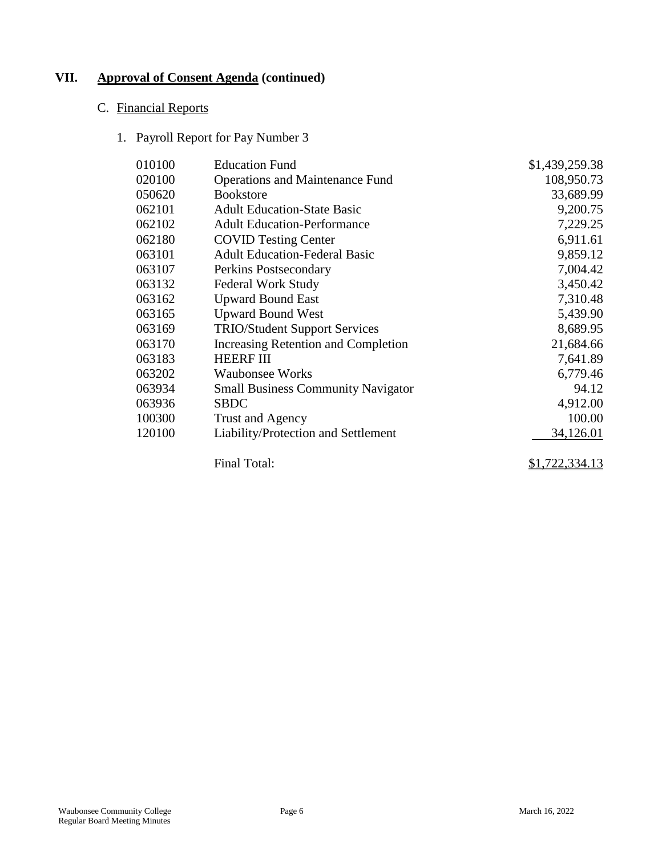# C. Financial Reports

1. Payroll Report for Pay Number 3

| 010100 | <b>Education Fund</b>                     | \$1,439,259.38        |
|--------|-------------------------------------------|-----------------------|
| 020100 |                                           |                       |
|        | <b>Operations and Maintenance Fund</b>    | 108,950.73            |
| 050620 | <b>Bookstore</b>                          | 33,689.99             |
| 062101 | <b>Adult Education-State Basic</b>        | 9,200.75              |
| 062102 | <b>Adult Education-Performance</b>        | 7,229.25              |
| 062180 | <b>COVID Testing Center</b>               | 6,911.61              |
| 063101 | <b>Adult Education-Federal Basic</b>      | 9,859.12              |
| 063107 | Perkins Postsecondary                     | 7,004.42              |
| 063132 | <b>Federal Work Study</b>                 | 3,450.42              |
| 063162 | <b>Upward Bound East</b>                  | 7,310.48              |
| 063165 | <b>Upward Bound West</b>                  | 5,439.90              |
| 063169 | <b>TRIO/Student Support Services</b>      | 8,689.95              |
| 063170 | Increasing Retention and Completion       | 21,684.66             |
| 063183 | <b>HEERF III</b>                          | 7,641.89              |
| 063202 | <b>Waubonsee Works</b>                    | 6,779.46              |
| 063934 | <b>Small Business Community Navigator</b> | 94.12                 |
| 063936 | <b>SBDC</b>                               | 4,912.00              |
| 100300 | Trust and Agency                          | 100.00                |
| 120100 | Liability/Protection and Settlement       | 34,126.01             |
|        | Final Total:                              | <u>\$1,722,334.13</u> |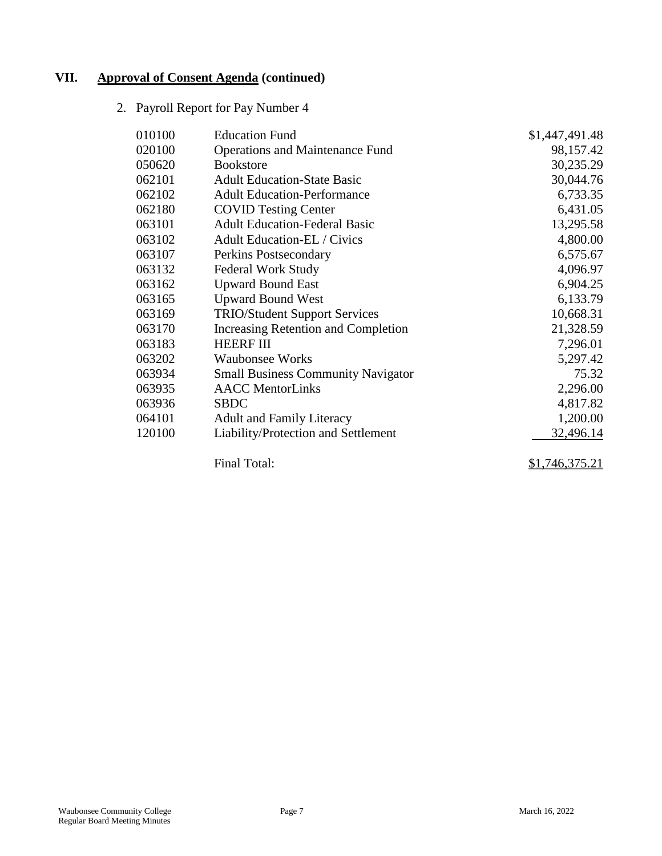2. Payroll Report for Pay Number 4

| 010100 | <b>Education Fund</b>                     | \$1,447,491.48 |
|--------|-------------------------------------------|----------------|
| 020100 | <b>Operations and Maintenance Fund</b>    | 98,157.42      |
| 050620 | <b>Bookstore</b>                          | 30,235.29      |
| 062101 | <b>Adult Education-State Basic</b>        | 30,044.76      |
| 062102 | <b>Adult Education-Performance</b>        | 6,733.35       |
| 062180 | <b>COVID Testing Center</b>               | 6,431.05       |
| 063101 | <b>Adult Education-Federal Basic</b>      | 13,295.58      |
| 063102 | <b>Adult Education-EL / Civics</b>        | 4,800.00       |
| 063107 | Perkins Postsecondary                     | 6,575.67       |
| 063132 | <b>Federal Work Study</b>                 | 4,096.97       |
| 063162 | <b>Upward Bound East</b>                  | 6,904.25       |
| 063165 | <b>Upward Bound West</b>                  | 6,133.79       |
| 063169 | <b>TRIO/Student Support Services</b>      | 10,668.31      |
| 063170 | Increasing Retention and Completion       | 21,328.59      |
| 063183 | <b>HEERF III</b>                          | 7,296.01       |
| 063202 | <b>Waubonsee Works</b>                    | 5,297.42       |
| 063934 | <b>Small Business Community Navigator</b> | 75.32          |
| 063935 | <b>AACC</b> MentorLinks                   | 2,296.00       |
| 063936 | <b>SBDC</b>                               | 4,817.82       |
| 064101 | <b>Adult and Family Literacy</b>          | 1,200.00       |
| 120100 | Liability/Protection and Settlement       | 32,496.14      |
|        | Final Total:                              | \$1,746,375.21 |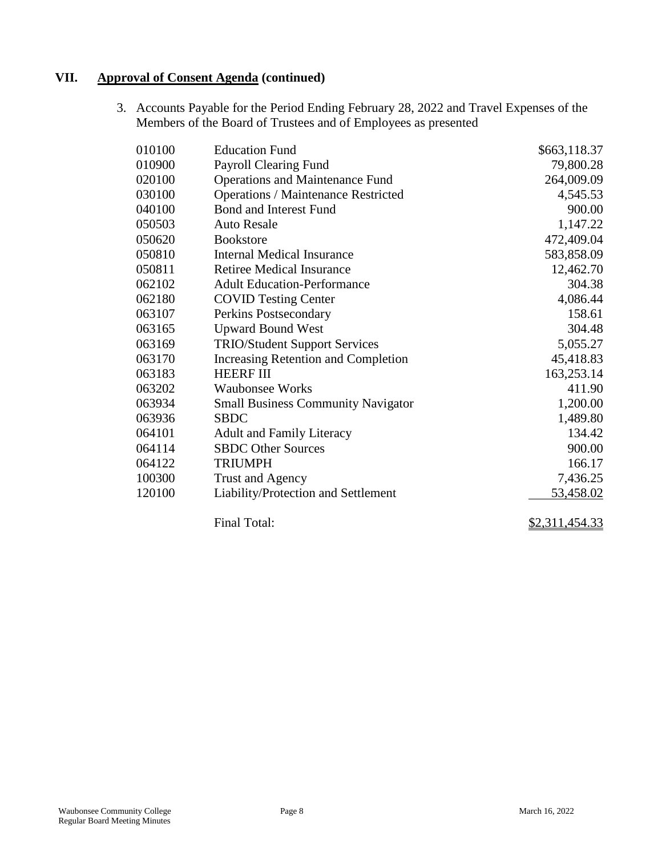3. Accounts Payable for the Period Ending February 28, 2022 and Travel Expenses of the Members of the Board of Trustees and of Employees as presented

| 010100 | <b>Education Fund</b>                      | \$663,118.37   |
|--------|--------------------------------------------|----------------|
| 010900 | Payroll Clearing Fund                      | 79,800.28      |
| 020100 | <b>Operations and Maintenance Fund</b>     | 264,009.09     |
| 030100 | <b>Operations / Maintenance Restricted</b> | 4,545.53       |
| 040100 | Bond and Interest Fund                     | 900.00         |
| 050503 | <b>Auto Resale</b>                         | 1,147.22       |
| 050620 | <b>Bookstore</b>                           | 472,409.04     |
| 050810 | Internal Medical Insurance                 | 583,858.09     |
| 050811 | <b>Retiree Medical Insurance</b>           | 12,462.70      |
| 062102 | <b>Adult Education-Performance</b>         | 304.38         |
| 062180 | <b>COVID Testing Center</b>                | 4,086.44       |
| 063107 | Perkins Postsecondary                      | 158.61         |
| 063165 | <b>Upward Bound West</b>                   | 304.48         |
| 063169 | <b>TRIO/Student Support Services</b>       | 5,055.27       |
| 063170 | <b>Increasing Retention and Completion</b> | 45,418.83      |
| 063183 | <b>HEERF III</b>                           | 163,253.14     |
| 063202 | <b>Waubonsee Works</b>                     | 411.90         |
| 063934 | <b>Small Business Community Navigator</b>  | 1,200.00       |
| 063936 | <b>SBDC</b>                                | 1,489.80       |
| 064101 | <b>Adult and Family Literacy</b>           | 134.42         |
| 064114 | <b>SBDC</b> Other Sources                  | 900.00         |
| 064122 | <b>TRIUMPH</b>                             | 166.17         |
| 100300 | <b>Trust and Agency</b>                    | 7,436.25       |
| 120100 | Liability/Protection and Settlement        | 53,458.02      |
|        | Final Total:                               | \$2,311,454.33 |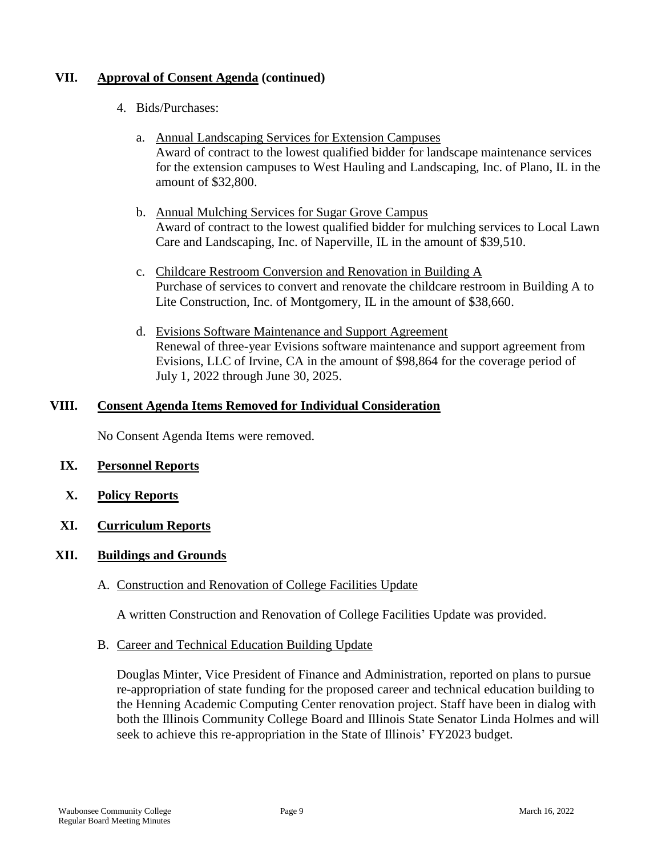- 4. Bids/Purchases:
	- a. Annual Landscaping Services for Extension Campuses Award of contract to the lowest qualified bidder for landscape maintenance services for the extension campuses to West Hauling and Landscaping, Inc. of Plano, IL in the amount of \$32,800.
	- b. Annual Mulching Services for Sugar Grove Campus Award of contract to the lowest qualified bidder for mulching services to Local Lawn Care and Landscaping, Inc. of Naperville, IL in the amount of \$39,510.
	- c. Childcare Restroom Conversion and Renovation in Building A Purchase of services to convert and renovate the childcare restroom in Building A to Lite Construction, Inc. of Montgomery, IL in the amount of \$38,660.
	- d. Evisions Software Maintenance and Support Agreement Renewal of three-year Evisions software maintenance and support agreement from Evisions, LLC of Irvine, CA in the amount of \$98,864 for the coverage period of July 1, 2022 through June 30, 2025.

## **VIII. Consent Agenda Items Removed for Individual Consideration**

No Consent Agenda Items were removed.

### **IX. Personnel Reports**

- **X. Policy Reports**
- **XI. Curriculum Reports**

## **XII. Buildings and Grounds**

A. Construction and Renovation of College Facilities Update

A written Construction and Renovation of College Facilities Update was provided.

B. Career and Technical Education Building Update

Douglas Minter, Vice President of Finance and Administration, reported on plans to pursue re-appropriation of state funding for the proposed career and technical education building to the Henning Academic Computing Center renovation project. Staff have been in dialog with both the Illinois Community College Board and Illinois State Senator Linda Holmes and will seek to achieve this re-appropriation in the State of Illinois' FY2023 budget.